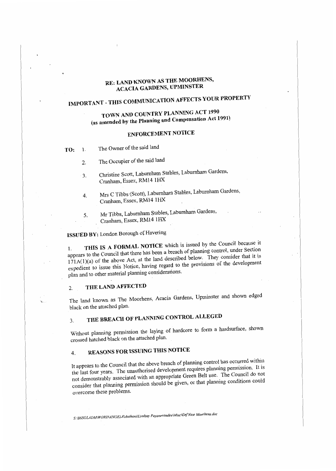## **RE: LAND KNOWN AS THE MOORHENS, ACACIA GARDENS, UPMINSTER**

# **IMPORTANT** - **THIS COMMUNICATION AFFECTS YOUR PROPERTY**

## **TOWN AND COUNTRY PLANNING ACT 1990 (as amended by the Planning and Compensation Act 1991)**

## **ENFORCEMENT NOTICE**

**TO:** 1. The Owner of the said land

- 2. The Occupier of the said land
- 3. Christine Scott, Labumbam Stables, Labumham Gardens, Cranham, Essex, RM14 lHX
- 4. Mrs C Tibbs (Scott), Laburnham Stables, Laburnham Gardens, Cranham, Essex, RM141HX
- 5. Mr Tibbs, Labumham Stables, Labumham Gardens, Cranham, Essex, RM14 1HX

## **ISSUED BY:** London Borough of Havering

THIS IS A FORMAL NOTICE which is issued by the Council because it appears to the Council that there has been a breach of planning control, under Section  $171A(1)(a)$  of the above Act, at the land described below. They consider that it is expedient to issue this Notice, having regard to the provisions of the development plan and to other material planning considerations.

## 2. **THE LAND AFFECTED**

The land known as The Moorhens, Acacia Gardens, Upminster and shown edged black on the attached plan.

## 3. **THE BREACH OF PLANNING CONTROL ALLEGED**

Without planning permission the laying of hardcore to form a hardsurface, shown crossed hatched black on the attached plan.

## 4. **REASONS FOR ISSUING THIS NOTICE**

It appears to the Council that the above breach of planning control has occurred within the last four years. The unauthorised development requires planning pennission. It is not demonstrably associated with an appropriate Green Belt use. The Council do not consider that planning permission should be given, or that planning conditions could overcome these problems.

*S:\BSSGLADM\WORD\ANGELA\A111hora\Lindsay Payaneeandee\Misc\EnfNtce Moorhens.doc*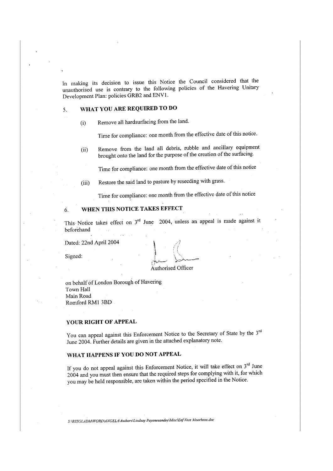In making its decision to issue this Notice the Council considered that the unauthorised use is contrary to the following policies of the Havering Unitary Development Plan: policies GRB2 and ENV l.

## 5. **WHAT YOU ARE REQUIRED TO DO**

(i) Remove all hardsurfacing from the land.

Time for compliance: one month from the effective date of this notice.

(ii) Remove from the land ail debris, rubble and ancillary equipment brought onto the land for the purpose of the creation of the surfacing.

Time for compliance: one month from the effective date of this notice

(iii) Restore the said land to pasture by reseeding with grass.

Time for compliance: one month from the effective date of this notice

## 6. **WHEN THIS NOTICE TAKES EFFECT**

This Notice takes effect on  $3<sup>rd</sup>$  June 2004, unless an appeal is made against it beforehand

Dated: 22nd April 2004

Signed:

Authorised Officer

on behalf of London Borough of Havering Town Hall Main Road Romford RMI 3BD

#### **YOUR RIGHT OF APPEAL**

You can appeal against this Enforcement Notice to the Secretary of State by the 3<sup>rd</sup> June 2004. Further details are given in the attached explanatory note.

### **WHAT HAPPENS IF YOU DO NOT APPEAL**

If you do not appeal against this Enforcement Notice, it will take effect on  $3<sup>rd</sup>$  June 2004 and you must then ensure that the required steps for complying with it, for which you may be held responsible, are taken within the period specified in the Notice.

*S: \BSSGLADM\WORD\ANGELA\Au1hors\Li11dsay Payaneeandee\Misc\EnfNtce Moorhens.doc*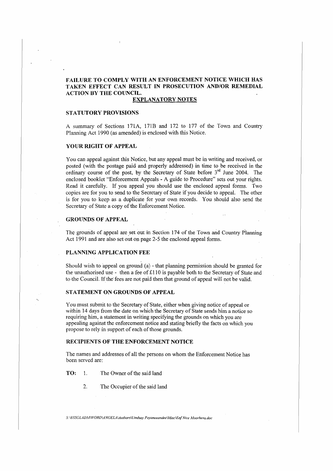### **FAILURE TO COMPLY WITH AN ENFORCEMENT NOTICE WHICH HAS TAKEN EFFECT CAN RESULT IN PROSECUTION AND/OR REMEDIAL ACTION BY THE COUNCIL.**

#### **EXPLANATORY NOTES**

#### **STATUTORY PROVISIONS**

A summary of Sections 171A, 171B and 172 to 177 of the Town and Country Planning Act 1990 (as amended) is enclosed with this Notice.

#### **YOUR RIGHT OF APPEAL**

You can appeal against this Notice, but any appeal must be in writing and received, or posted (with the postage paid and properly addressed) in time to be received in the ordinary course of the post, by the Secretary of State before 3<sup>rd</sup> June 2004. The enclosed booklet "Enforcement Appeals - A guide to Procedure" sets out your rights. Read it carefully. If you appeal you should use the enclosed appeal forms. Two copies are for you to send to the Secretary of State if you decide to appeal. The other is for you to keep as a duplicate for your own records. You should also send the Secretary of State a copy of the Enforcement Notice.

#### **GROUNDS OF APPEAL**

The grounds of appeal are set out in Section 174 of the Town and Country Planning Act 1991 and are also set out on page 2-5 the enclosed appeal forms.

#### **PLANNING APPLICATION FEE**

Should wish to appeal on ground (a) - that planning permission should be granted for the unauthorised use - then a fee of £110 is payable both to the Secretary of State and to the Council. If the fees are not paid then that ground of appeal will not be valid.

#### **STATEMENT ON GROUNDS OF APPEAL**

You must submit to the Secretary of State, either when giving notice of appeal or within 14 days from the date on which the Secretary of State sends him a notice so requiring him, a statement in writing specifying the grounds on which you are appealing against the enforcement notice and stating brie1ly the facts on which you propose to rely in support of each of those grounds.

#### **RECIPIENTS OF THE ENFORCEMENT NOTICE**

The names and addresses of all the persons on whom the Enforcement Notice has been served are:

**TO:** 1. The Owner of the said land

2. The Occupier of the said land

*S: \BSSGLADA:f.WORD\A NGEL4\Aulhors\lindsay Payaneeandee\Misc\Enf Nice Moarhens.doc*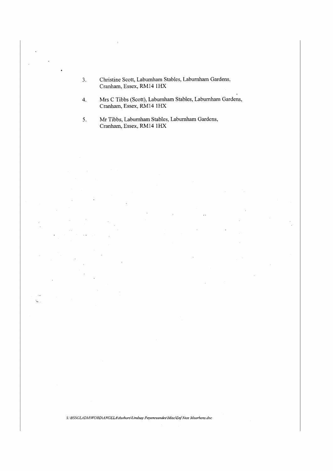- 3. Christine Scott, Laburnham Stables, Labumham Gardens, Cranham, Essex, RM14 IHX
- 4. Mrs C Tibbs (Scott), Labumham Stables, Laburnham Gardens, Cranham, Essex, RM14 1HX

5. Mr Tibbs, Labumham Stables, Laburnham Gardens, Cranham, Essex, RM14 lHX

*S: \BSSGlAD,lf\WORDL4NGElA\Authors\Lindsay Payaneeandee\Misc\E,if Nice Moorhens.doc*